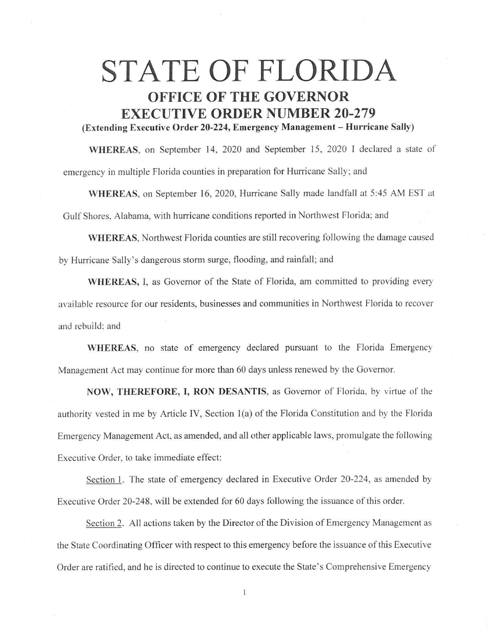## **STATE OF FLORIDA OFFICE OF THE GOVERNOR EXECUTIVE ORDER NUMBER 20-279 (Extending Executive Order 20-224, Emergency Management - Hurricane Sally)**

**WHEREAS,** on September 14, 2020 and September 15, 2020 I declared a state of emergency in multiple Florida counties in preparation for Hurricane Sally; and

**\VHEREAS,** on September 16, 2020, Hurricane Sally made landfall at 5:45 AM EST at Gulf Shores. Alabama, with hurricane conditions reported in Northwest Florida; and

**WHEREAS,** Northwest Florida counties are still recovering following the damage caused by Hurricane Sally's dangerous storm surge, flooding, and rainfall; and

**WHEREAS,** I, as Governor of the State of Florida, am committed to providing every available resource for our residents, businesses and communities in Northwest Florida to recover and rebuild: and

WHEREAS, no state of emergency declared pursuant to the Florida Emergency Management Act may continue for more than 60 days unless renewed by the Governor.

**NOW, THEREFORE, I, RON DESANTIS,** as Governor of Florida, by virtue of the authority vested in me by Article IV, Section 1(a) of the Florida Constitution and by the Florida Emergency Management Act, as amended, and all other applicable laws, promulgate the following Executive Order, to take immediate effect:

Section 1. The state of emergency declared in Executive Order 20-224, as amended by Executive Order 20-248. will be extended for 60 days following the issuance of this order.

Section 2. All actions taken by the Director of the Division of Emergency Management as the State Coordinating Officer with respect to this emergency before the issuance of this Executive Order are ratified, and he is directed to continue to execute the State's Comprehensive Emergency

 $\overline{1}$